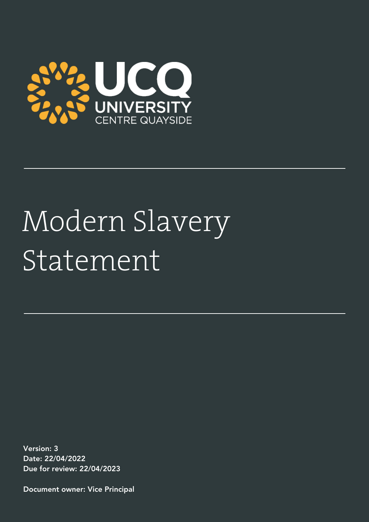

## Modern Slavery Statement

Version: 3 Date: 22/04/2022 Due for review: 22/04/2023

Document owner: Vice Principal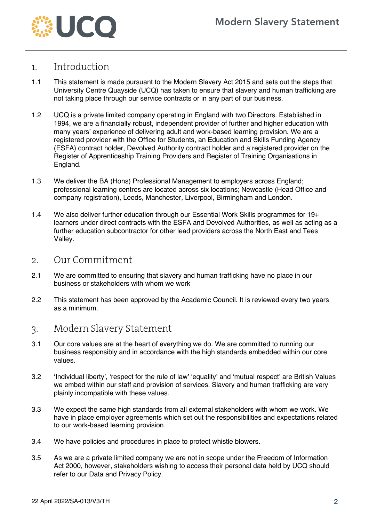

## 1. Introduction

- 1.1 This statement is made pursuant to the Modern Slavery Act 2015 and sets out the steps that University Centre Quayside (UCQ) has taken to ensure that slavery and human trafficking are not taking place through our service contracts or in any part of our business.
- 1.2 UCQ is a private limited company operating in England with two Directors. Established in 1994, we are a financially robust, independent provider of further and higher education with many years' experience of delivering adult and work-based learning provision. We are a registered provider with the Office for Students, an Education and Skills Funding Agency (ESFA) contract holder, Devolved Authority contract holder and a registered provider on the Register of Apprenticeship Training Providers and Register of Training Organisations in England.
- 1.3 We deliver the BA (Hons) Professional Management to employers across England; professional learning centres are located across six locations; Newcastle (Head Office and company registration), Leeds, Manchester, Liverpool, Birmingham and London.
- 1.4 We also deliver further education through our Essential Work Skills programmes for 19+ learners under direct contracts with the ESFA and Devolved Authorities, as well as acting as a further education subcontractor for other lead providers across the North East and Tees Valley.
- 2. Our Commitment
- 2.1 We are committed to ensuring that slavery and human trafficking have no place in our business or stakeholders with whom we work
- 2.2 This statement has been approved by the Academic Council. It is reviewed every two years as a minimum.
- 3. Modern Slavery Statement
- 3.1 Our core values are at the heart of everything we do. We are committed to running our business responsibly and in accordance with the high standards embedded within our core values.
- 3.2 'Individual liberty', 'respect for the rule of law' 'equality' and 'mutual respect' are British Values we embed within our staff and provision of services. Slavery and human trafficking are very plainly incompatible with these values.
- 3.3 We expect the same high standards from all external stakeholders with whom we work. We have in place employer agreements which set out the responsibilities and expectations related to our work-based learning provision.
- 3.4 We have policies and procedures in place to protect whistle blowers.
- 3.5 As we are a private limited company we are not in scope under the Freedom of Information Act 2000, however, stakeholders wishing to access their personal data held by UCQ should refer to our Data and Privacy Policy.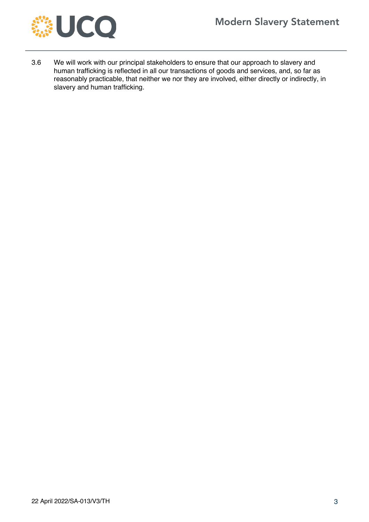

3.6 We will work with our principal stakeholders to ensure that our approach to slavery and human trafficking is reflected in all our transactions of goods and services, and, so far as reasonably practicable, that neither we nor they are involved, either directly or indirectly, in slavery and human trafficking.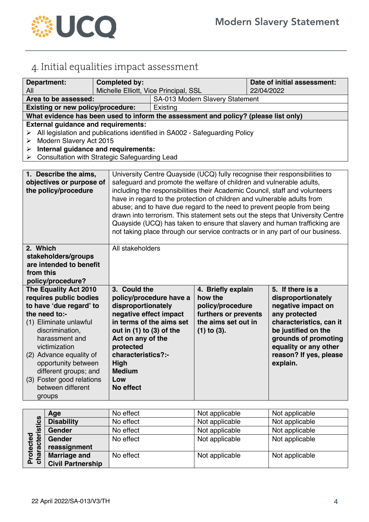

## 4. Initial equalities impact assessment

| <b>Department:</b>                                                                                                                                                                                                                                                                                                 | <b>Completed by:</b>                                                                                                                                                                              |                                                                                                                                                                                                                                                                                                                                                                                                                                                                                                                                                                                                                                         |                                                                                                                      | Date of initial assessment:                                                                                                               |                                                                           |
|--------------------------------------------------------------------------------------------------------------------------------------------------------------------------------------------------------------------------------------------------------------------------------------------------------------------|---------------------------------------------------------------------------------------------------------------------------------------------------------------------------------------------------|-----------------------------------------------------------------------------------------------------------------------------------------------------------------------------------------------------------------------------------------------------------------------------------------------------------------------------------------------------------------------------------------------------------------------------------------------------------------------------------------------------------------------------------------------------------------------------------------------------------------------------------------|----------------------------------------------------------------------------------------------------------------------|-------------------------------------------------------------------------------------------------------------------------------------------|---------------------------------------------------------------------------|
| All                                                                                                                                                                                                                                                                                                                |                                                                                                                                                                                                   | Michelle Elliott, Vice Principal, SSL                                                                                                                                                                                                                                                                                                                                                                                                                                                                                                                                                                                                   |                                                                                                                      | 22/04/2022                                                                                                                                |                                                                           |
| Area to be assessed:                                                                                                                                                                                                                                                                                               |                                                                                                                                                                                                   | SA-013 Modern Slavery Statement                                                                                                                                                                                                                                                                                                                                                                                                                                                                                                                                                                                                         |                                                                                                                      |                                                                                                                                           |                                                                           |
| <b>Existing or new policy/procedure:</b>                                                                                                                                                                                                                                                                           |                                                                                                                                                                                                   | Existing                                                                                                                                                                                                                                                                                                                                                                                                                                                                                                                                                                                                                                |                                                                                                                      |                                                                                                                                           |                                                                           |
| What evidence has been used to inform the assessment and policy? (please list only)                                                                                                                                                                                                                                |                                                                                                                                                                                                   |                                                                                                                                                                                                                                                                                                                                                                                                                                                                                                                                                                                                                                         |                                                                                                                      |                                                                                                                                           |                                                                           |
| <b>External guidance and requirements:</b>                                                                                                                                                                                                                                                                         |                                                                                                                                                                                                   |                                                                                                                                                                                                                                                                                                                                                                                                                                                                                                                                                                                                                                         |                                                                                                                      |                                                                                                                                           |                                                                           |
| All legislation and publications identified in SA002 - Safeguarding Policy<br>➤                                                                                                                                                                                                                                    |                                                                                                                                                                                                   |                                                                                                                                                                                                                                                                                                                                                                                                                                                                                                                                                                                                                                         |                                                                                                                      |                                                                                                                                           |                                                                           |
| Modern Slavery Act 2015<br>➤                                                                                                                                                                                                                                                                                       |                                                                                                                                                                                                   |                                                                                                                                                                                                                                                                                                                                                                                                                                                                                                                                                                                                                                         |                                                                                                                      |                                                                                                                                           |                                                                           |
| Internal guidance and requirements:<br>➤                                                                                                                                                                                                                                                                           |                                                                                                                                                                                                   |                                                                                                                                                                                                                                                                                                                                                                                                                                                                                                                                                                                                                                         |                                                                                                                      |                                                                                                                                           |                                                                           |
| Consultation with Strategic Safeguarding Lead<br>➤                                                                                                                                                                                                                                                                 |                                                                                                                                                                                                   |                                                                                                                                                                                                                                                                                                                                                                                                                                                                                                                                                                                                                                         |                                                                                                                      |                                                                                                                                           |                                                                           |
| 1. Describe the aims,<br>objectives or purpose of<br>the policy/procedure                                                                                                                                                                                                                                          |                                                                                                                                                                                                   | University Centre Quayside (UCQ) fully recognise their responsibilities to<br>safeguard and promote the welfare of children and vulnerable adults,<br>including the responsibilities their Academic Council, staff and volunteers<br>have in regard to the protection of children and vulnerable adults from<br>abuse; and to have due regard to the need to prevent people from being<br>drawn into terrorism. This statement sets out the steps that University Centre<br>Quayside (UCQ) has taken to ensure that slavery and human trafficking are<br>not taking place through our service contracts or in any part of our business. |                                                                                                                      |                                                                                                                                           |                                                                           |
| 2. Which                                                                                                                                                                                                                                                                                                           | All stakeholders                                                                                                                                                                                  |                                                                                                                                                                                                                                                                                                                                                                                                                                                                                                                                                                                                                                         |                                                                                                                      |                                                                                                                                           |                                                                           |
| stakeholders/groups                                                                                                                                                                                                                                                                                                |                                                                                                                                                                                                   |                                                                                                                                                                                                                                                                                                                                                                                                                                                                                                                                                                                                                                         |                                                                                                                      |                                                                                                                                           |                                                                           |
|                                                                                                                                                                                                                                                                                                                    | are intended to benefit                                                                                                                                                                           |                                                                                                                                                                                                                                                                                                                                                                                                                                                                                                                                                                                                                                         |                                                                                                                      |                                                                                                                                           |                                                                           |
| from this                                                                                                                                                                                                                                                                                                          |                                                                                                                                                                                                   |                                                                                                                                                                                                                                                                                                                                                                                                                                                                                                                                                                                                                                         |                                                                                                                      |                                                                                                                                           |                                                                           |
| policy/procedure?                                                                                                                                                                                                                                                                                                  |                                                                                                                                                                                                   |                                                                                                                                                                                                                                                                                                                                                                                                                                                                                                                                                                                                                                         |                                                                                                                      |                                                                                                                                           |                                                                           |
| The Equality Act 2010<br>requires public bodies<br>to have 'due regard' to<br>the need to:-<br>(1) Eliminate unlawful<br>discrimination,<br>harassment and<br>victimization<br>(2) Advance equality of<br>opportunity between<br>different groups; and<br>(3) Foster good relations<br>between different<br>groups | 3. Could the<br>disproportionately<br>negative effect impact<br>out in $(1)$ to $(3)$ of the<br>Act on any of the<br>protected<br>characteristics?:-<br>High<br><b>Medium</b><br>Low<br>No effect | policy/procedure have a<br>in terms of the aims set                                                                                                                                                                                                                                                                                                                                                                                                                                                                                                                                                                                     | 4. Briefly explain<br>how the<br>policy/procedure<br>furthers or prevents<br>the aims set out in<br>$(1)$ to $(3)$ . | 5. If there is a<br>disproportionately<br>negative impact on<br>any protected<br>be justified on the<br>equality or any other<br>explain. | characteristics, can it<br>grounds of promoting<br>reason? If yes, please |

| stics<br>ected<br>acteri | Age                      | No effect | Not applicable | Not applicable |
|--------------------------|--------------------------|-----------|----------------|----------------|
|                          | <b>Disability</b>        | No effect | Not applicable | Not applicable |
|                          | <b>Gender</b>            | No effect | Not applicable | Not applicable |
|                          | <b>Gender</b>            | No effect | Not applicable | Not applicable |
|                          | reassignment             |           |                |                |
| ē<br><u>ռ</u>            | <b>Marriage and</b>      | No effect | Not applicable | Not applicable |
| ᅀᅙ                       | <b>Civil Partnership</b> |           |                |                |